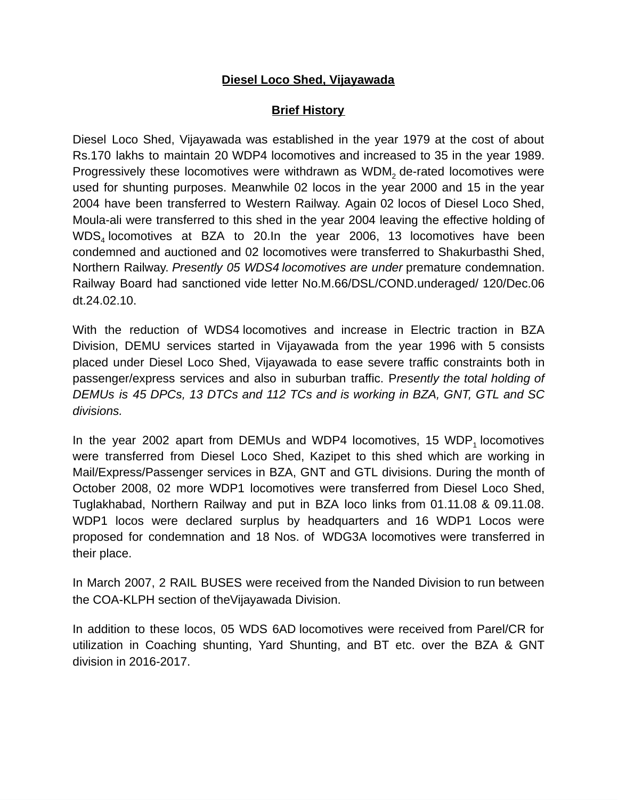#### **Diesel Loco Shed, Vijayawada**

#### **Brief History**

Diesel Loco Shed, Vijayawada was established in the year 1979 at the cost of about Rs.170 lakhs to maintain 20 WDP4 locomotives and increased to 35 in the year 1989. Progressively these locomotives were withdrawn as  $\mathsf{WDM}_2$  de-rated locomotives were used for shunting purposes. Meanwhile 02 locos in the year 2000 and 15 in the year 2004 have been transferred to Western Railway. Again 02 locos of Diesel Loco Shed, Moula-ali were transferred to this shed in the year 2004 leaving the effective holding of  $\mathsf{WDS}_4$  locomotives at BZA to 20.In the year 2006, 13 locomotives have been condemned and auctioned and 02 locomotives were transferred to Shakurbasthi Shed, Northern Railway. *Presently 05 WDS4 locomotives are under* premature condemnation. Railway Board had sanctioned vide letter No.M.66/DSL/COND.underaged/ 120/Dec.06 dt.24.02.10.

With the reduction of WDS4 locomotives and increase in Electric traction in BZA Division, DEMU services started in Vijayawada from the year 1996 with 5 consists placed under Diesel Loco Shed, Vijayawada to ease severe traffic constraints both in passenger/express services and also in suburban traffic. P*resently the total holding of DEMUs is 45 DPCs, 13 DTCs and 112 TCs and is working in BZA, GNT, GTL and SC divisions.*

In the year 2002 apart from DEMUs and WDP4 locomotives, 15  $WDP_1$  locomotives were transferred from Diesel Loco Shed, Kazipet to this shed which are working in Mail/Express/Passenger services in BZA, GNT and GTL divisions. During the month of October 2008, 02 more WDP1 locomotives were transferred from Diesel Loco Shed, Tuglakhabad, Northern Railway and put in BZA loco links from 01.11.08 & 09.11.08. WDP1 locos were declared surplus by headquarters and 16 WDP1 Locos were proposed for condemnation and 18 Nos. of WDG3A locomotives were transferred in their place.

In March 2007, 2 RAIL BUSES were received from the Nanded Division to run between the COA-KLPH section of theVijayawada Division.

In addition to these locos, 05 WDS 6AD locomotives were received from Parel/CR for utilization in Coaching shunting, Yard Shunting, and BT etc. over the BZA & GNT division in 2016-2017.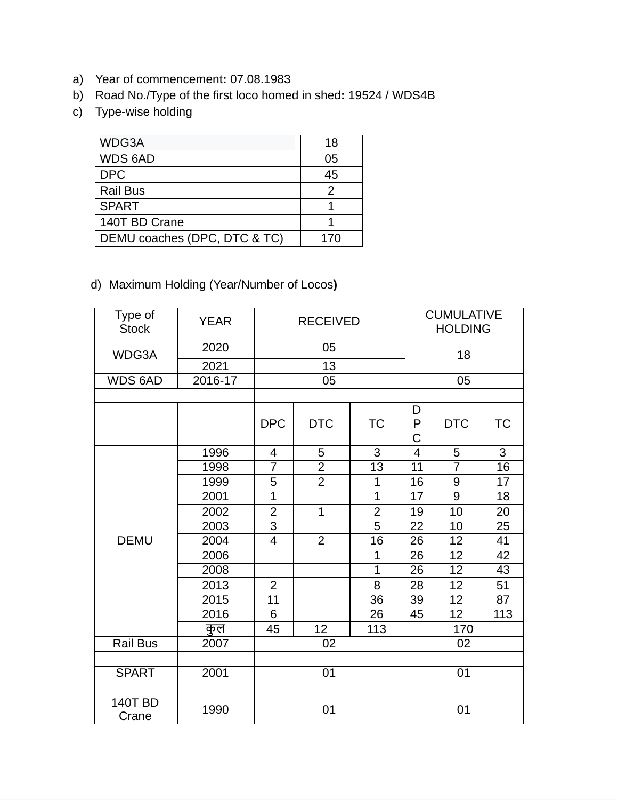- a) Year of commencement**:** 07.08.1983
- b) Road No./Type of the first loco homed in shed**:** 19524 / WDS4B
- c) Type-wise holding

| WDG3A                        | 18  |
|------------------------------|-----|
| WDS 6AD                      | 05  |
| <b>DPC</b>                   | 45  |
| <b>Rail Bus</b>              | 2   |
| <b>SPART</b>                 |     |
| 140T BD Crane                |     |
| DEMU coaches (DPC, DTC & TC) | 170 |

d) Maximum Holding (Year/Number of Locos**)**

| Type of<br><b>Stock</b> | <b>YEAR</b> | <b>RECEIVED</b> |                |                | <b>CUMULATIVE</b><br><b>HOLDING</b> |                |           |  |
|-------------------------|-------------|-----------------|----------------|----------------|-------------------------------------|----------------|-----------|--|
| WDG3A                   | 2020        | 05              |                |                |                                     | 18             |           |  |
|                         | 2021        | 13              |                |                |                                     |                |           |  |
| <b>WDS 6AD</b>          | 2016-17     |                 | 05             |                | 05                                  |                |           |  |
|                         |             |                 |                |                |                                     |                |           |  |
|                         |             | <b>DPC</b>      | <b>DTC</b>     | <b>TC</b>      | D<br>P<br>C                         | <b>DTC</b>     | <b>TC</b> |  |
|                         | 1996        | 4               | 5              | 3              | 4                                   | 5              | 3         |  |
|                         | 1998        | $\overline{7}$  | $\overline{2}$ | 13             | 11                                  | $\overline{7}$ | 16        |  |
|                         | 1999        | 5               | $\overline{2}$ | 1              | 16                                  | 9              | 17        |  |
|                         | 2001        | $\overline{1}$  |                | $\overline{1}$ | 17                                  | 9              | 18        |  |
|                         | 2002        | $\overline{2}$  | $\mathbf{1}$   | $\overline{2}$ | 19                                  | 10             | 20        |  |
| <b>DEMU</b>             | 2003        | 3               |                | $\overline{5}$ | 22                                  | 10             | 25        |  |
|                         | 2004        | $\overline{4}$  | $\overline{2}$ | 16             | 26                                  | 12             | 41        |  |
|                         | 2006        |                 |                | $\mathbf{1}$   | 26                                  | 12             | 42        |  |
|                         | 2008        |                 |                | $\mathbf{1}$   | 26                                  | 12             | 43        |  |
|                         | 2013        | $\overline{2}$  |                | 8              | 28                                  | 12             | 51        |  |
|                         | 2015        | 11              |                | 36             | 39                                  | 12             | 87        |  |
|                         | 2016        | 6               |                | 26             | 45                                  | 12             | 113       |  |
|                         | कुल         | 45              | 12             | 113            | 170                                 |                |           |  |
| Rail Bus                | 2007        | 02              |                |                | 02                                  |                |           |  |
|                         |             |                 |                |                |                                     |                |           |  |
| <b>SPART</b>            | 2001        | 01              |                |                | 01                                  |                |           |  |
|                         |             |                 |                |                |                                     |                |           |  |
| <b>140T BD</b><br>Crane | 1990        | 01              |                |                | 01                                  |                |           |  |